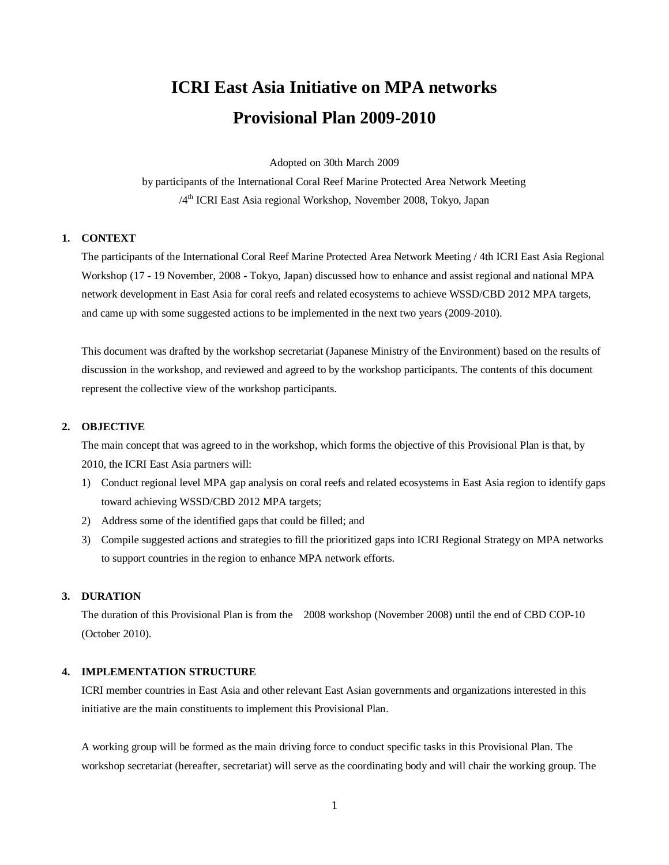# **ICRI East Asia Initiative on MPA networks Provisional Plan 2009-2010**

Adopted on 30th March 2009

by participants of the International Coral Reef Marine Protected Area Network Meeting /4<sup>th</sup> ICRI East Asia regional Workshop, November 2008, Tokyo, Japan

## **1. CONTEXT**

The participants of the International Coral Reef Marine Protected Area Network Meeting / 4th ICRI East Asia Regional Workshop (17 - 19 November, 2008 - Tokyo, Japan) discussed how to enhance and assist regional and national MPA network development in East Asia for coral reefs and related ecosystems to achieve WSSD/CBD 2012 MPA targets, and came up with some suggested actions to be implemented in the next two years (2009-2010).

This document was drafted by the workshop secretariat (Japanese Ministry of the Environment) based on the results of discussion in the workshop, and reviewed and agreed to by the workshop participants. The contents of this document represent the collective view of the workshop participants.

## **2. OBJECTIVE**

The main concept that was agreed to in the workshop, which forms the objective of this Provisional Plan is that, by 2010, the ICRI East Asia partners will:

- 1) Conduct regional level MPA gap analysis on coral reefs and related ecosystems in East Asia region to identify gaps toward achieving WSSD/CBD 2012 MPA targets;
- 2) Address some of the identified gaps that could be filled; and
- 3) Compile suggested actions and strategies to fill the prioritized gaps into ICRI Regional Strategy on MPA networks to support countries in the region to enhance MPA network efforts.

### **3. DURATION**

The duration of this Provisional Plan is from the 2008 workshop (November 2008) until the end of CBD COP-10 (October 2010).

#### **4. IMPLEMENTATION STRUCTURE**

ICRI member countries in East Asia and other relevant East Asian governments and organizations interested in this initiative are the main constituents to implement this Provisional Plan.

A working group will be formed as the main driving force to conduct specific tasks in this Provisional Plan. The workshop secretariat (hereafter, secretariat) will serve as the coordinating body and will chair the working group. The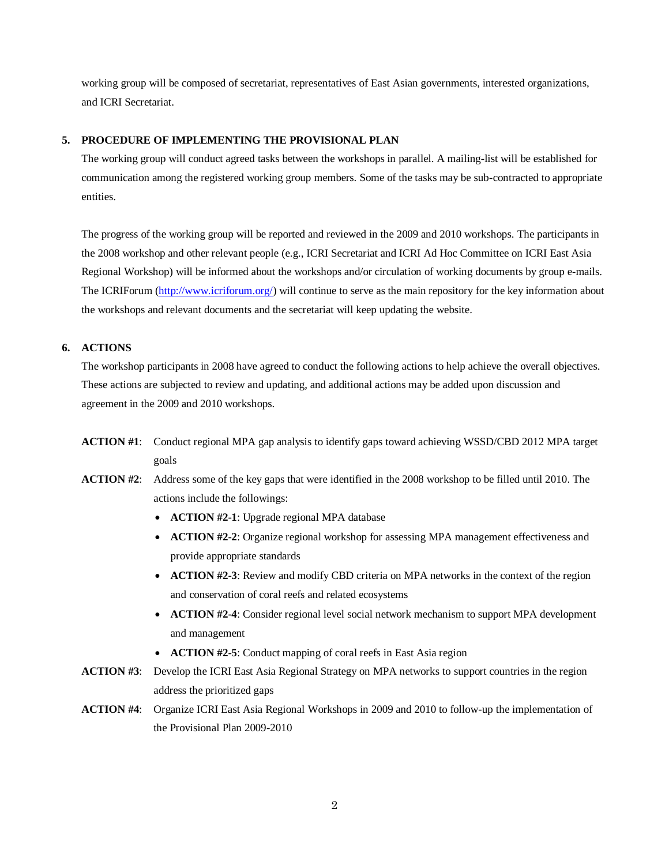working group will be composed of secretariat, representatives of East Asian governments, interested organizations, and ICRI Secretariat.

## **5. PROCEDURE OF IMPLEMENTING THE PROVISIONAL PLAN**

The working group will conduct agreed tasks between the workshops in parallel. A mailing-list will be established for communication among the registered working group members. Some of the tasks may be sub-contracted to appropriate entities.

The progress of the working group will be reported and reviewed in the 2009 and 2010 workshops. The participants in the 2008 workshop and other relevant people (e.g., ICRI Secretariat and ICRI Ad Hoc Committee on ICRI East Asia Regional Workshop) will be informed about the workshops and/or circulation of working documents by group e-mails. The ICRIForum [\(http://www.icriforum.org/\)](http://www.icriforum.org/) will continue to serve as the main repository for the key information about the workshops and relevant documents and the secretariat will keep updating the website.

## **6. ACTIONS**

The workshop participants in 2008 have agreed to conduct the following actions to help achieve the overall objectives. These actions are subjected to review and updating, and additional actions may be added upon discussion and agreement in the 2009 and 2010 workshops.

- **ACTION #1**: Conduct regional MPA gap analysis to identify gaps toward achieving WSSD/CBD 2012 MPA target goals
- **ACTION #2**: Address some of the key gaps that were identified in the 2008 workshop to be filled until 2010. The actions include the followings:
	- **ACTION #2-1**: Upgrade regional MPA database
	- **ACTION #2-2**: Organize regional workshop for assessing MPA management effectiveness and provide appropriate standards
	- **ACTION #2-3**: Review and modify CBD criteria on MPA networks in the context of the region and conservation of coral reefs and related ecosystems
	- **ACTION #2-4**: Consider regional level social network mechanism to support MPA development and management
	- **ACTION #2-5**: Conduct mapping of coral reefs in East Asia region
- **ACTION #3**: Develop the ICRI East Asia Regional Strategy on MPA networks to support countries in the region address the prioritized gaps
- **ACTION #4**: Organize ICRI East Asia Regional Workshops in 2009 and 2010 to follow-up the implementation of the Provisional Plan 2009-2010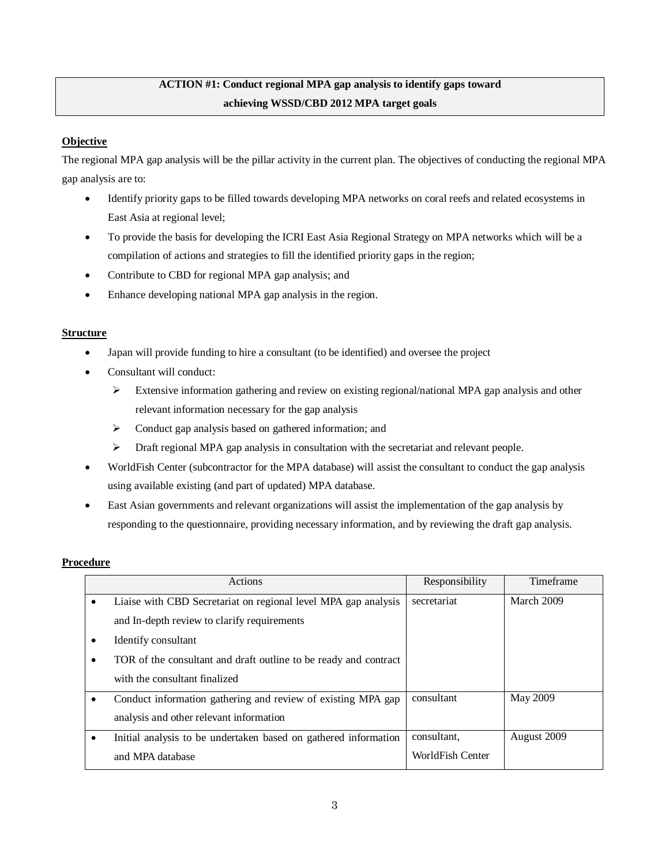## **ACTION #1: Conduct regional MPA gap analysis to identify gaps toward achieving WSSD/CBD 2012 MPA target goals**

## **Objective**

The regional MPA gap analysis will be the pillar activity in the current plan. The objectives of conducting the regional MPA gap analysis are to:

- Identify priority gaps to be filled towards developing MPA networks on coral reefs and related ecosystems in East Asia at regional level;
- To provide the basis for developing the ICRI East Asia Regional Strategy on MPA networks which will be a compilation of actions and strategies to fill the identified priority gaps in the region;
- Contribute to CBD for regional MPA gap analysis; and
- Enhance developing national MPA gap analysis in the region.

## **Structure**

- Japan will provide funding to hire a consultant (to be identified) and oversee the project
- Consultant will conduct:
	- Extensive information gathering and review on existing regional/national MPA gap analysis and other relevant information necessary for the gap analysis
	- $\triangleright$  Conduct gap analysis based on gathered information; and
	- $\triangleright$  Draft regional MPA gap analysis in consultation with the secretariat and relevant people.
- WorldFish Center (subcontractor for the MPA database) will assist the consultant to conduct the gap analysis using available existing (and part of updated) MPA database.
- East Asian governments and relevant organizations will assist the implementation of the gap analysis by responding to the questionnaire, providing necessary information, and by reviewing the draft gap analysis.

|           | Actions                                                          | Responsibility   | Timeframe   |
|-----------|------------------------------------------------------------------|------------------|-------------|
| $\bullet$ | Liaise with CBD Secretariat on regional level MPA gap analysis   | secretariat      | March 2009  |
|           | and In-depth review to clarify requirements                      |                  |             |
|           | Identify consultant                                              |                  |             |
| ٠         | TOR of the consultant and draft outline to be ready and contract |                  |             |
|           | with the consultant finalized                                    |                  |             |
|           | Conduct information gathering and review of existing MPA gap     | consultant       | May 2009    |
|           | analysis and other relevant information                          |                  |             |
|           | Initial analysis to be undertaken based on gathered information  | consultant.      | August 2009 |
|           | and MPA database                                                 | WorldFish Center |             |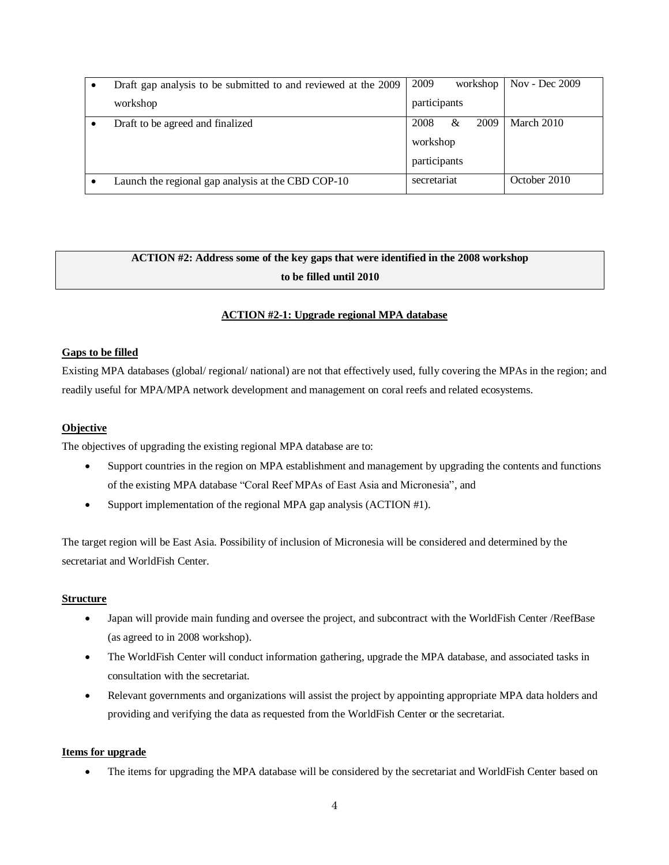| Draft gap analysis to be submitted to and reviewed at the 2009 | 2009<br>workshop  | Nov - Dec 2009 |
|----------------------------------------------------------------|-------------------|----------------|
| workshop                                                       | participants      |                |
| Draft to be agreed and finalized                               | 2008<br>2009<br>& | March 2010     |
|                                                                | workshop          |                |
|                                                                | participants      |                |
| Launch the regional gap analysis at the CBD COP-10             | secretariat       | October 2010   |

## **ACTION #2: Address some of the key gaps that were identified in the 2008 workshop to be filled until 2010**

## **ACTION #2-1: Upgrade regional MPA database**

#### **Gaps to be filled**

Existing MPA databases (global/ regional/ national) are not that effectively used, fully covering the MPAs in the region; and readily useful for MPA/MPA network development and management on coral reefs and related ecosystems.

#### **Objective**

The objectives of upgrading the existing regional MPA database are to:

- Support countries in the region on MPA establishment and management by upgrading the contents and functions of the existing MPA database "Coral Reef MPAs of East Asia and Micronesia", and
- Support implementation of the regional MPA gap analysis (ACTION #1).

The target region will be East Asia. Possibility of inclusion of Micronesia will be considered and determined by the secretariat and WorldFish Center.

#### **Structure**

- Japan will provide main funding and oversee the project, and subcontract with the WorldFish Center /ReefBase (as agreed to in 2008 workshop).
- The WorldFish Center will conduct information gathering, upgrade the MPA database, and associated tasks in consultation with the secretariat.
- Relevant governments and organizations will assist the project by appointing appropriate MPA data holders and providing and verifying the data as requested from the WorldFish Center or the secretariat.

#### **Items for upgrade**

The items for upgrading the MPA database will be considered by the secretariat and WorldFish Center based on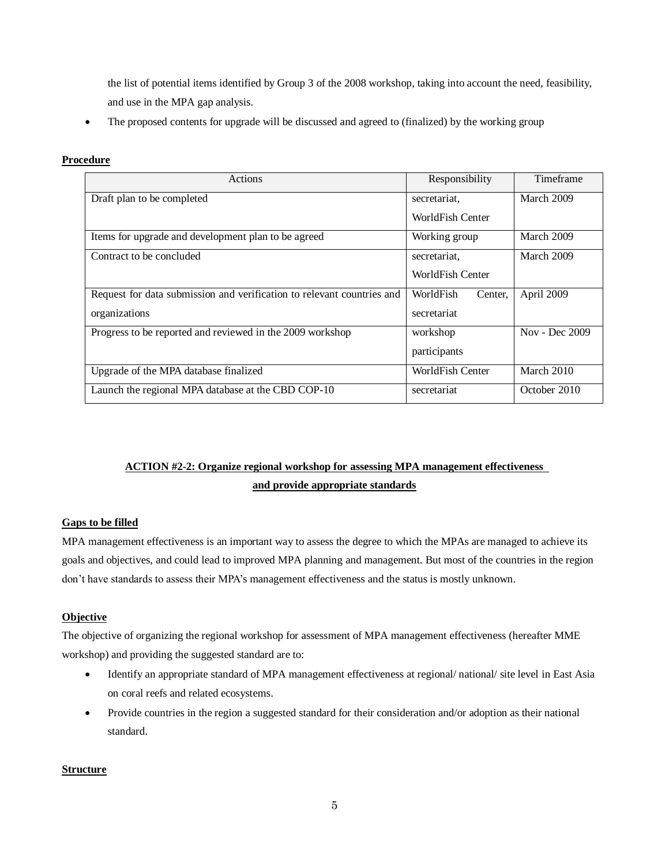the list of potential items identified by Group 3 of the 2008 workshop, taking into account the need, feasibility, and use in the MPA gap analysis.

• The proposed contents for upgrade will be discussed and agreed to (finalized) by the working group

## **Procedure**

| Actions                                                                | Responsibility       | Timeframe      |
|------------------------------------------------------------------------|----------------------|----------------|
| Draft plan to be completed                                             | secretariat.         | March 2009     |
|                                                                        | WorldFish Center     |                |
| Items for upgrade and development plan to be agreed                    | Working group        | March 2009     |
| Contract to be concluded                                               | secretariat.         | March 2009     |
|                                                                        | WorldFish Center     |                |
| Request for data submission and verification to relevant countries and | WorldFish<br>Center. | April 2009     |
| organizations                                                          | secretariat          |                |
| Progress to be reported and reviewed in the 2009 workshop              | workshop             | Nov - Dec 2009 |
|                                                                        | participants         |                |
| Upgrade of the MPA database finalized                                  | WorldFish Center     | March 2010     |
| Launch the regional MPA database at the CBD COP-10                     | secretariat          | October 2010   |

## **ACTION #2-2: Organize regional workshop for assessing MPA management effectiveness and provide appropriate standards**

## **Gaps to be filled**

MPA management effectiveness is an important way to assess the degree to which the MPAs are managed to achieve its goals and objectives, and could lead to improved MPA planning and management. But most of the countries in the region don't have standards to assess their MPA's management effectiveness and the status is mostly unknown.

## **Objective**

The objective of organizing the regional workshop for assessment of MPA management effectiveness (hereafter MME workshop) and providing the suggested standard are to:

- Identify an appropriate standard of MPA management effectiveness at regional/ national/ site level in East Asia on coral reefs and related ecosystems.
- Provide countries in the region a suggested standard for their consideration and/or adoption as their national standard.

## **Structure**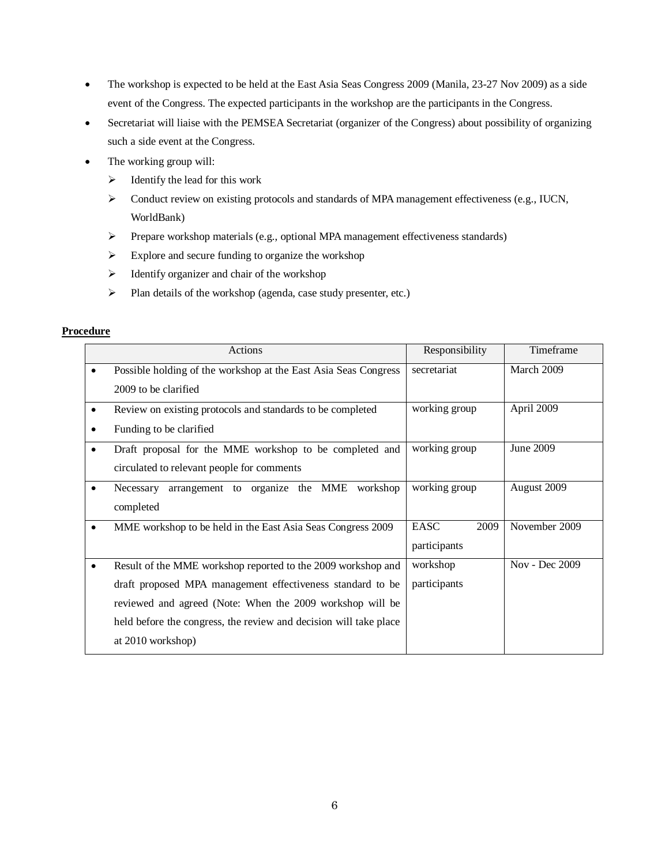- The workshop is expected to be held at the East Asia Seas Congress 2009 (Manila, 23-27 Nov 2009) as a side event of the Congress. The expected participants in the workshop are the participants in the Congress.
- Secretariat will liaise with the PEMSEA Secretariat (organizer of the Congress) about possibility of organizing such a side event at the Congress.
- The working group will:
	- $\triangleright$  Identify the lead for this work
	- $\triangleright$  Conduct review on existing protocols and standards of MPA management effectiveness (e.g., IUCN, WorldBank)
	- Prepare workshop materials (e.g., optional MPA management effectiveness standards)
	- $\triangleright$  Explore and secure funding to organize the workshop
	- $\triangleright$  Identify organizer and chair of the workshop
	- $\triangleright$  Plan details of the workshop (agenda, case study presenter, etc.)

| Actions                                                           | Responsibility | Timeframe      |
|-------------------------------------------------------------------|----------------|----------------|
| Possible holding of the workshop at the East Asia Seas Congress   | secretariat    | March 2009     |
| 2009 to be clarified                                              |                |                |
| Review on existing protocols and standards to be completed        | working group  | April 2009     |
| Funding to be clarified                                           |                |                |
| Draft proposal for the MME workshop to be completed and           | working group  | June 2009      |
| circulated to relevant people for comments                        |                |                |
| arrangement to organize the MME<br>workshop<br>Necessary          | working group  | August 2009    |
| completed                                                         |                |                |
| MME workshop to be held in the East Asia Seas Congress 2009       | EASC<br>2009   | November 2009  |
|                                                                   | participants   |                |
| Result of the MME workshop reported to the 2009 workshop and      | workshop       | Nov - Dec 2009 |
| draft proposed MPA management effectiveness standard to be        | participants   |                |
| reviewed and agreed (Note: When the 2009 workshop will be         |                |                |
| held before the congress, the review and decision will take place |                |                |
| at 2010 workshop)                                                 |                |                |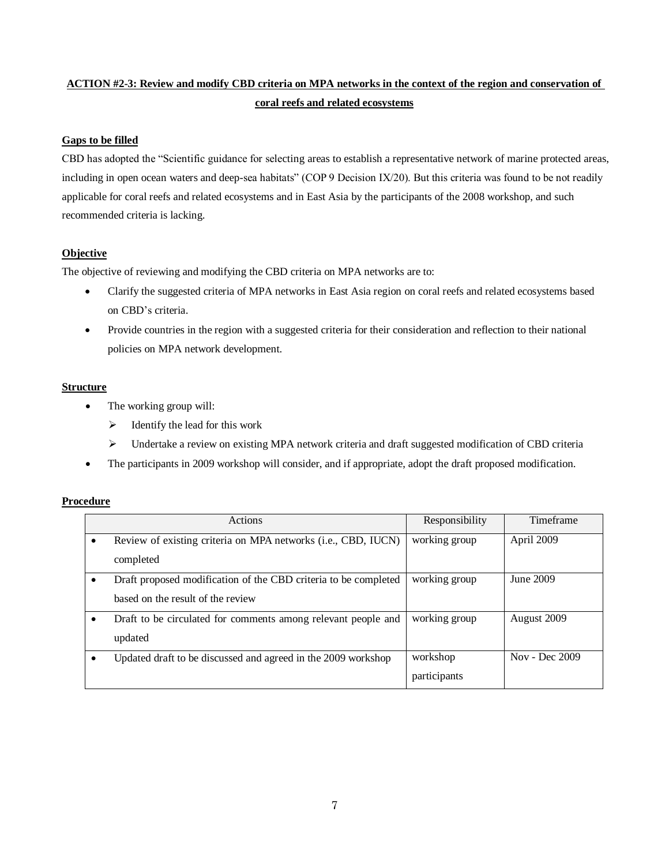## **ACTION #2-3: Review and modify CBD criteria on MPA networks in the context of the region and conservation of coral reefs and related ecosystems**

## **Gaps to be filled**

CBD has adopted the "Scientific guidance for selecting areas to establish a representative network of marine protected areas, including in open ocean waters and deep-sea habitats" (COP 9 Decision IX/20). But this criteria was found to be not readily applicable for coral reefs and related ecosystems and in East Asia by the participants of the 2008 workshop, and such recommended criteria is lacking.

## **Objective**

The objective of reviewing and modifying the CBD criteria on MPA networks are to:

- Clarify the suggested criteria of MPA networks in East Asia region on coral reefs and related ecosystems based on CBD's criteria.
- Provide countries in the region with a suggested criteria for their consideration and reflection to their national policies on MPA network development.

## **Structure**

- The working group will:
	- $\triangleright$  Identify the lead for this work
	- $\triangleright$  Undertake a review on existing MPA network criteria and draft suggested modification of CBD criteria
- The participants in 2009 workshop will consider, and if appropriate, adopt the draft proposed modification.

| <b>Actions</b>                                                  | Responsibility | Timeframe      |
|-----------------------------------------------------------------|----------------|----------------|
| Review of existing criteria on MPA networks (i.e., CBD, IUCN)   | working group  | April 2009     |
| completed                                                       |                |                |
| Draft proposed modification of the CBD criteria to be completed | working group  | June 2009      |
| based on the result of the review                               |                |                |
| Draft to be circulated for comments among relevant people and   | working group  | August 2009    |
| updated                                                         |                |                |
| Updated draft to be discussed and agreed in the 2009 workshop   | workshop       | Nov - Dec 2009 |
|                                                                 | participants   |                |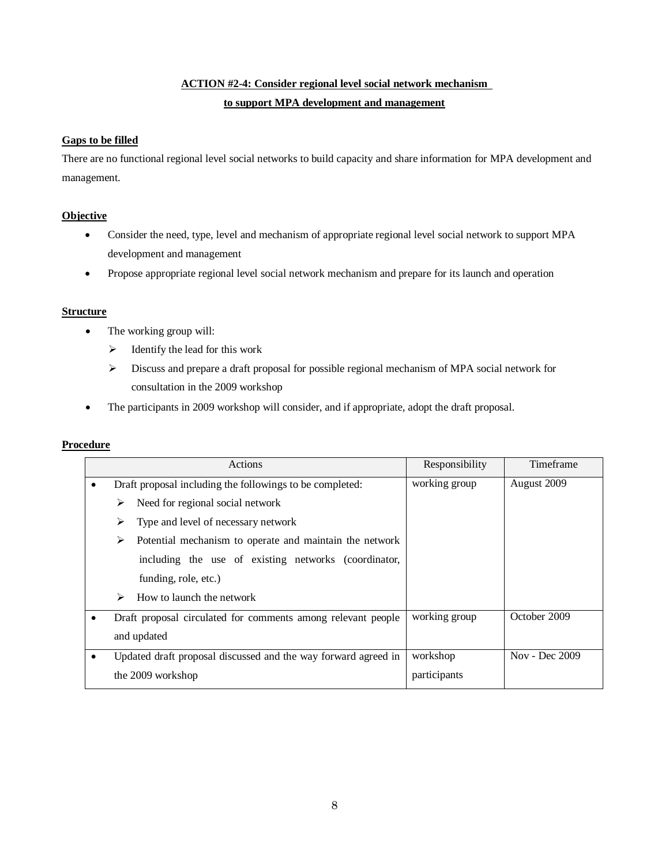## **ACTION #2-4: Consider regional level social network mechanism to support MPA development and management**

## **Gaps to be filled**

There are no functional regional level social networks to build capacity and share information for MPA development and management.

## **Objective**

- Consider the need, type, level and mechanism of appropriate regional level social network to support MPA development and management
- Propose appropriate regional level social network mechanism and prepare for its launch and operation

## **Structure**

- The working group will:
	- $\triangleright$  Identify the lead for this work
	- $\triangleright$  Discuss and prepare a draft proposal for possible regional mechanism of MPA social network for consultation in the 2009 workshop
- The participants in 2009 workshop will consider, and if appropriate, adopt the draft proposal.

|           | Actions                                                        | Responsibility | Timeframe      |
|-----------|----------------------------------------------------------------|----------------|----------------|
| $\bullet$ | Draft proposal including the followings to be completed:       | working group  | August 2009    |
|           | Need for regional social network<br>⋗                          |                |                |
|           | Type and level of necessary network<br>⋗                       |                |                |
|           | Potential mechanism to operate and maintain the network<br>⋗   |                |                |
|           | including the use of existing networks (coordinator,           |                |                |
|           | funding, role, etc.)                                           |                |                |
|           | How to launch the network<br>➤                                 |                |                |
|           | Draft proposal circulated for comments among relevant people   | working group  | October 2009   |
|           | and updated                                                    |                |                |
| ٠         | Updated draft proposal discussed and the way forward agreed in | workshop       | Nov - Dec 2009 |
|           | the 2009 workshop                                              | participants   |                |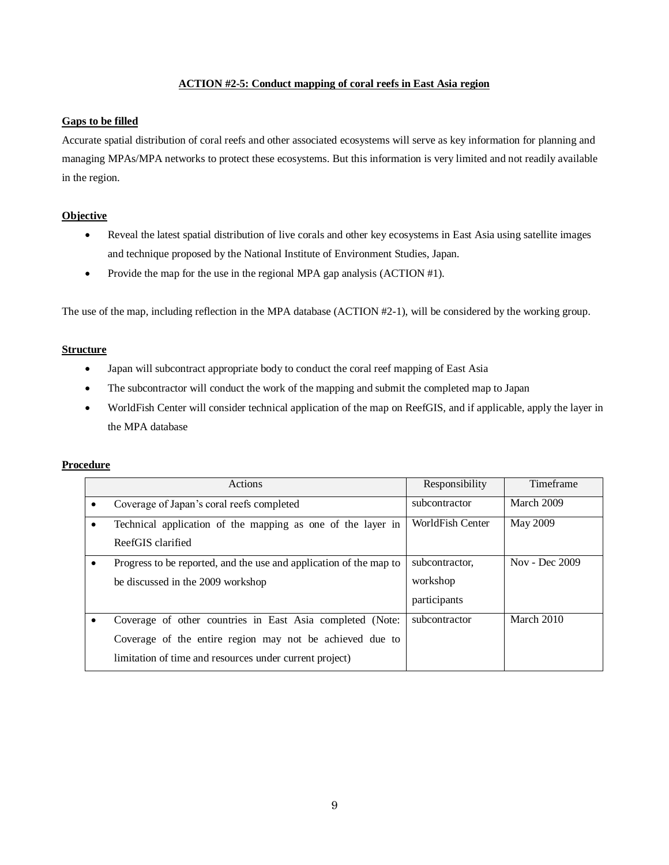## **ACTION #2-5: Conduct mapping of coral reefs in East Asia region**

### **Gaps to be filled**

Accurate spatial distribution of coral reefs and other associated ecosystems will serve as key information for planning and managing MPAs/MPA networks to protect these ecosystems. But this information is very limited and not readily available in the region.

## **Objective**

- Reveal the latest spatial distribution of live corals and other key ecosystems in East Asia using satellite images and technique proposed by the National Institute of Environment Studies, Japan.
- Provide the map for the use in the regional MPA gap analysis (ACTION #1).

The use of the map, including reflection in the MPA database (ACTION #2-1), will be considered by the working group.

## **Structure**

- Japan will subcontract appropriate body to conduct the coral reef mapping of East Asia
- The subcontractor will conduct the work of the mapping and submit the completed map to Japan
- WorldFish Center will consider technical application of the map on ReefGIS, and if applicable, apply the layer in the MPA database

| Actions                                                            | Responsibility   | Timeframe      |
|--------------------------------------------------------------------|------------------|----------------|
| Coverage of Japan's coral reefs completed                          | subcontractor    | March 2009     |
| Technical application of the mapping as one of the layer in        | WorldFish Center | May 2009       |
| ReefGIS clarified                                                  |                  |                |
| Progress to be reported, and the use and application of the map to | subcontractor,   | Nov - Dec 2009 |
| be discussed in the 2009 workshop                                  | workshop         |                |
|                                                                    | participants     |                |
| Coverage of other countries in East Asia completed (Note:          | subcontractor    | March 2010     |
| Coverage of the entire region may not be achieved due to           |                  |                |
| limitation of time and resources under current project)            |                  |                |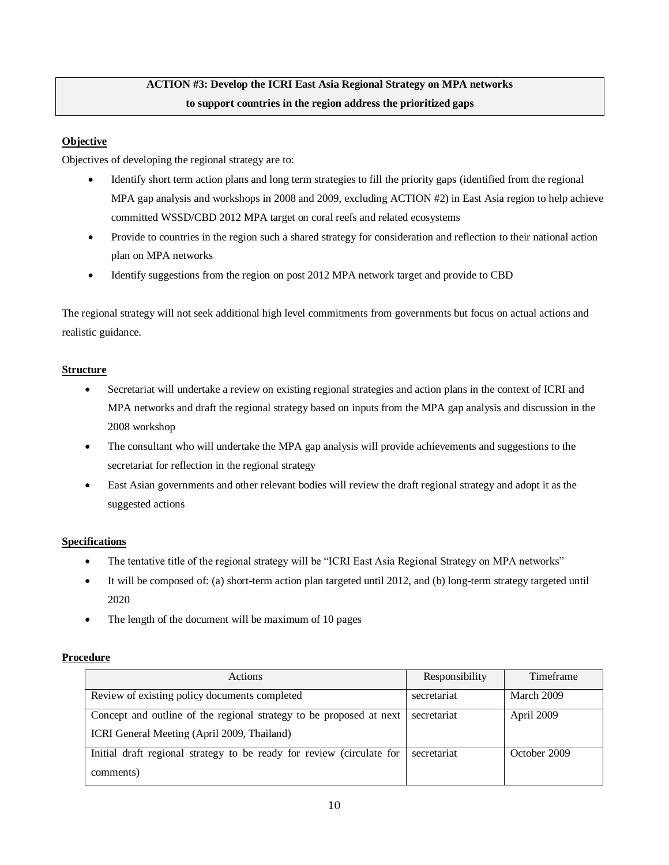## **ACTION #3: Develop the ICRI East Asia Regional Strategy on MPA networks to support countries in the region address the prioritized gaps**

## **Objective**

Objectives of developing the regional strategy are to:

- Identify short term action plans and long term strategies to fill the priority gaps (identified from the regional MPA gap analysis and workshops in 2008 and 2009, excluding ACTION #2) in East Asia region to help achieve committed WSSD/CBD 2012 MPA target on coral reefs and related ecosystems
- Provide to countries in the region such a shared strategy for consideration and reflection to their national action plan on MPA networks
- Identify suggestions from the region on post 2012 MPA network target and provide to CBD

The regional strategy will not seek additional high level commitments from governments but focus on actual actions and realistic guidance.

## **Structure**

- Secretariat will undertake a review on existing regional strategies and action plans in the context of ICRI and MPA networks and draft the regional strategy based on inputs from the MPA gap analysis and discussion in the 2008 workshop
- The consultant who will undertake the MPA gap analysis will provide achievements and suggestions to the secretariat for reflection in the regional strategy
- East Asian governments and other relevant bodies will review the draft regional strategy and adopt it as the suggested actions

## **Specifications**

- The tentative title of the regional strategy will be "ICRI East Asia Regional Strategy on MPA networks"
- It will be composed of: (a) short-term action plan targeted until 2012, and (b) long-term strategy targeted until 2020
- The length of the document will be maximum of 10 pages

| Actions                                                               | Responsibility | Timeframe    |
|-----------------------------------------------------------------------|----------------|--------------|
| Review of existing policy documents completed                         | secretariat    | March 2009   |
| Concept and outline of the regional strategy to be proposed at next   | secretariat    | April 2009   |
| ICRI General Meeting (April 2009, Thailand)                           |                |              |
| Initial draft regional strategy to be ready for review (circulate for | secretariat    | October 2009 |
| comments)                                                             |                |              |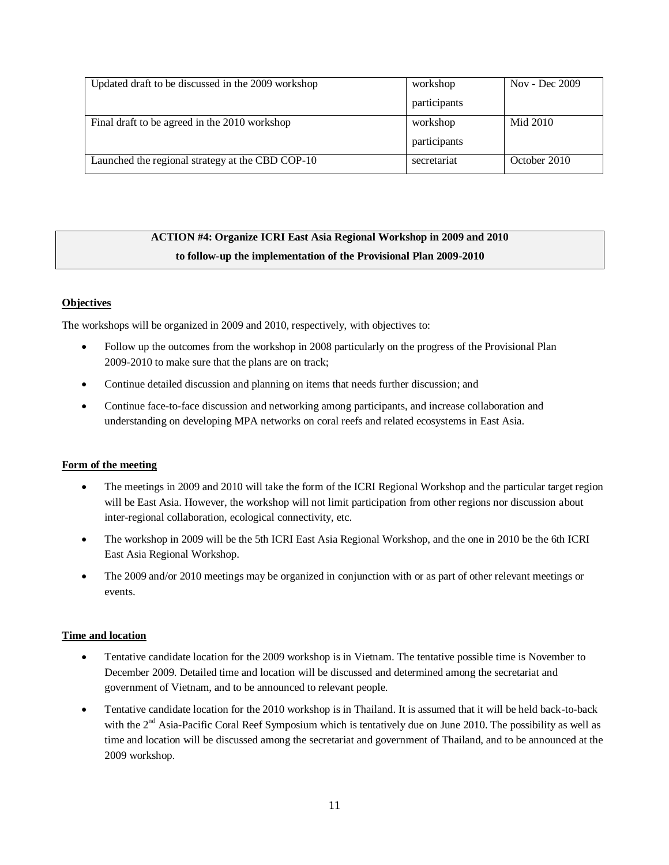| Updated draft to be discussed in the 2009 workshop | workshop     | Nov - Dec $2009$ |
|----------------------------------------------------|--------------|------------------|
|                                                    | participants |                  |
| Final draft to be agreed in the 2010 workshop      | workshop     | Mid 2010         |
|                                                    | participants |                  |
| Launched the regional strategy at the CBD COP-10   | secretariat  | October 2010     |

## **ACTION #4: Organize ICRI East Asia Regional Workshop in 2009 and 2010 to follow-up the implementation of the Provisional Plan 2009-2010**

## **Objectives**

The workshops will be organized in 2009 and 2010, respectively, with objectives to:

- Follow up the outcomes from the workshop in 2008 particularly on the progress of the Provisional Plan 2009-2010 to make sure that the plans are on track;
- Continue detailed discussion and planning on items that needs further discussion; and
- Continue face-to-face discussion and networking among participants, and increase collaboration and understanding on developing MPA networks on coral reefs and related ecosystems in East Asia.

## **Form of the meeting**

- The meetings in 2009 and 2010 will take the form of the ICRI Regional Workshop and the particular target region will be East Asia. However, the workshop will not limit participation from other regions nor discussion about inter-regional collaboration, ecological connectivity, etc.
- The workshop in 2009 will be the 5th ICRI East Asia Regional Workshop, and the one in 2010 be the 6th ICRI East Asia Regional Workshop.
- The 2009 and/or 2010 meetings may be organized in conjunction with or as part of other relevant meetings or events.

## **Time and location**

- Tentative candidate location for the 2009 workshop is in Vietnam. The tentative possible time is November to December 2009. Detailed time and location will be discussed and determined among the secretariat and government of Vietnam, and to be announced to relevant people.
- Tentative candidate location for the 2010 workshop is in Thailand. It is assumed that it will be held back-to-back with the  $2<sup>nd</sup> Asia-Pacific Coral Reef Symposium which is tentatively due on June 2010. The possibility as well as$ time and location will be discussed among the secretariat and government of Thailand, and to be announced at the 2009 workshop.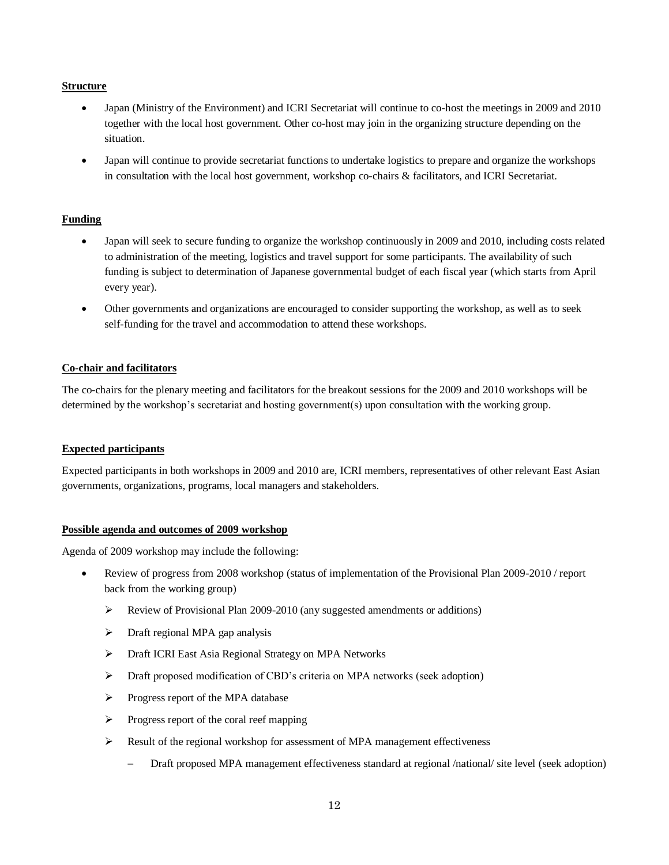#### **Structure**

- Japan (Ministry of the Environment) and ICRI Secretariat will continue to co-host the meetings in 2009 and 2010 together with the local host government. Other co-host may join in the organizing structure depending on the situation.
- Japan will continue to provide secretariat functions to undertake logistics to prepare and organize the workshops in consultation with the local host government, workshop co-chairs & facilitators, and ICRI Secretariat.

## **Funding**

- Japan will seek to secure funding to organize the workshop continuously in 2009 and 2010, including costs related to administration of the meeting, logistics and travel support for some participants. The availability of such funding is subject to determination of Japanese governmental budget of each fiscal year (which starts from April every year).
- Other governments and organizations are encouraged to consider supporting the workshop, as well as to seek self-funding for the travel and accommodation to attend these workshops.

## **Co-chair and facilitators**

The co-chairs for the plenary meeting and facilitators for the breakout sessions for the 2009 and 2010 workshops will be determined by the workshop's secretariat and hosting government(s) upon consultation with the working group.

## **Expected participants**

Expected participants in both workshops in 2009 and 2010 are, ICRI members, representatives of other relevant East Asian governments, organizations, programs, local managers and stakeholders.

## **Possible agenda and outcomes of 2009 workshop**

Agenda of 2009 workshop may include the following:

- Review of progress from 2008 workshop (status of implementation of the Provisional Plan 2009-2010 / report back from the working group)
	- $\triangleright$  Review of Provisional Plan 2009-2010 (any suggested amendments or additions)
	- > Draft regional MPA gap analysis
	- Draft ICRI East Asia Regional Strategy on MPA Networks
	- Draft proposed modification of CBD's criteria on MPA networks (seek adoption)
	- $\triangleright$  Progress report of the MPA database
	- $\triangleright$  Progress report of the coral reef mapping
	- $\triangleright$  Result of the regional workshop for assessment of MPA management effectiveness
		- Draft proposed MPA management effectiveness standard at regional /national/ site level (seek adoption)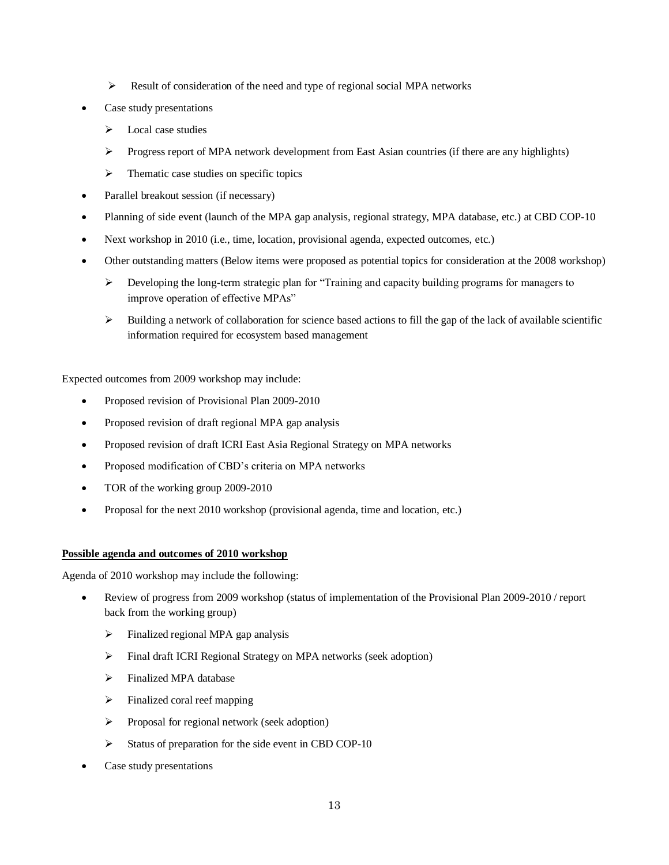- $\triangleright$  Result of consideration of the need and type of regional social MPA networks
- Case study presentations
	- $\triangleright$  Local case studies
	- $\triangleright$  Progress report of MPA network development from East Asian countries (if there are any highlights)
	- $\triangleright$  Thematic case studies on specific topics
- Parallel breakout session (if necessary)
- Planning of side event (launch of the MPA gap analysis, regional strategy, MPA database, etc.) at CBD COP-10
- Next workshop in 2010 (i.e., time, location, provisional agenda, expected outcomes, etc.)
- Other outstanding matters (Below items were proposed as potential topics for consideration at the 2008 workshop)
	- $\triangleright$  Developing the long-term strategic plan for "Training and capacity building programs for managers to improve operation of effective MPAs"
	- $\triangleright$  Building a network of collaboration for science based actions to fill the gap of the lack of available scientific information required for ecosystem based management

Expected outcomes from 2009 workshop may include:

- Proposed revision of Provisional Plan 2009-2010
- Proposed revision of draft regional MPA gap analysis
- Proposed revision of draft ICRI East Asia Regional Strategy on MPA networks
- Proposed modification of CBD's criteria on MPA networks
- TOR of the working group 2009-2010
- Proposal for the next 2010 workshop (provisional agenda, time and location, etc.)

## **Possible agenda and outcomes of 2010 workshop**

Agenda of 2010 workshop may include the following:

- Review of progress from 2009 workshop (status of implementation of the Provisional Plan 2009-2010 / report back from the working group)
	- $\triangleright$  Finalized regional MPA gap analysis
	- Final draft ICRI Regional Strategy on MPA networks (seek adoption)
	- > Finalized MPA database
	- $\triangleright$  Finalized coral reef mapping
	- $\triangleright$  Proposal for regional network (seek adoption)
	- $\triangleright$  Status of preparation for the side event in CBD COP-10
- Case study presentations